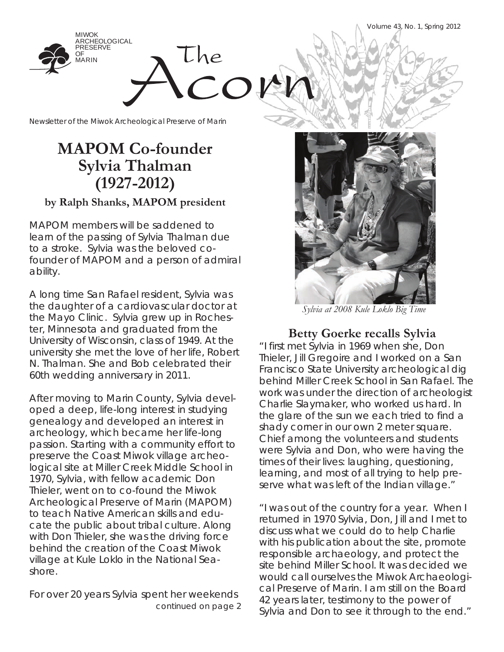Volume 43, No. 1, Spring 2012



Newsletter of the Miwok Archeological Preserve of Marin

## **MAPOM Co-founder Sylvia Thalman (1927-2012)**

### **by Ralph Shanks, MAPOM president**

MAPOM members will be saddened to learn of the passing of Sylvia Thalman due to a stroke. Sylvia was the beloved cofounder of MAPOM and a person of admiral ability.

A long time San Rafael resident, Sylvia was the daughter of a cardiovascular doctor at the Mayo Clinic. Sylvia grew up in Rochester, Minnesota and graduated from the University of Wisconsin, class of 1949. At the university she met the love of her life, Robert N. Thalman. She and Bob celebrated their 60th wedding anniversary in 2011.

After moving to Marin County, Sylvia developed a deep, life-long interest in studying genealogy and developed an interest in archeology, which became her life-long passion. Starting with a community effort to preserve the Coast Miwok village archeological site at Miller Creek Middle School in 1970, Sylvia, with fellow academic Don Thieler, went on to co-found the Miwok Archeological Preserve of Marin (MAPOM) to teach Native American skills and educate the public about tribal culture. Along with Don Thieler, she was the driving force behind the creation of the Coast Miwok village at Kule Loklo in the National Seashore.

For over 20 years Sylvia spent her weekends *continued on page 2* 



*Sylvia at 2008 Kule Loklo Big Time*

**Betty Goerke recalls Sylvia**

"I first met Sylvia in 1969 when she, Don Thieler, Jill Gregoire and I worked on a San Francisco State University archeological dig behind Miller Creek School in San Rafael. The work was under the direction of archeologist Charlie Slaymaker, who worked us hard. In the glare of the sun we each tried to find a shady corner in our own 2 meter square. Chief among the volunteers and students were Sylvia and Don, who were having the times of their lives: laughing, questioning, learning, and most of all trying to help preserve what was left of the Indian village."

"I was out of the country for a year. When I returned in 1970 Sylvia, Don, Jill and I met to discuss what we could do to help Charlie with his publication about the site, promote responsible archaeology, and protect the site behind Miller School. It was decided we would call ourselves the Miwok Archaeological Preserve of Marin. I am still on the Board 42 years later, testimony to the power of Sylvia and Don to see it through to the end."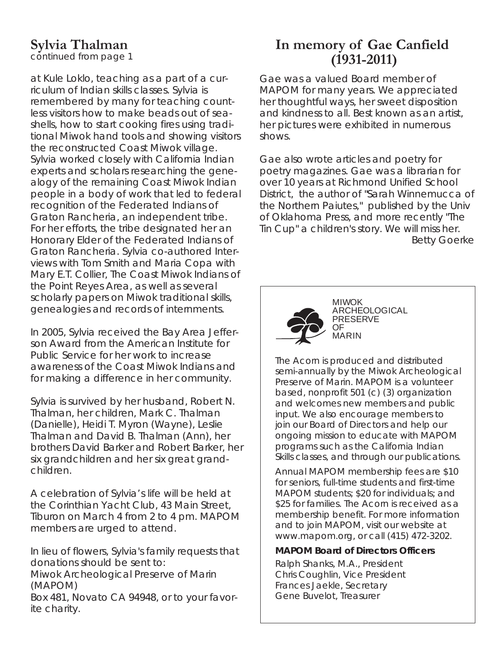## **Sylvia Thalman**

*continued from page 1*

at Kule Loklo, teaching as a part of a curriculum of Indian skills classes. Sylvia is remembered by many for teaching countless visitors how to make beads out of seashells, how to start cooking fires using traditional Miwok hand tools and showing visitors the reconstructed Coast Miwok village. Sylvia worked closely with California Indian experts and scholars researching the genealogy of the remaining Coast Miwok Indian people in a body of work that led to federal recognition of the Federated Indians of Graton Rancheria, an independent tribe. For her efforts, the tribe designated her an Honorary Elder of the Federated Indians of Graton Rancheria. Sylvia co-authored Interviews with Tom Smith and Maria Copa with Mary E.T. Collier, The Coast Miwok Indians of the Point Reyes Area, as well as several scholarly papers on Miwok traditional skills, genealogies and records of internments.

In 2005, Sylvia received the Bay Area Jefferson Award from the American Institute for Public Service for her work to increase awareness of the Coast Miwok Indians and for making a difference in her community.

Sylvia is survived by her husband, Robert N. Thalman, her children, Mark C. Thalman (Danielle), Heidi T. Myron (Wayne), Leslie Thalman and David B. Thalman (Ann), her brothers David Barker and Robert Barker, her six grandchildren and her six great grandchildren.

A celebration of Sylvia's life will be held at the Corinthian Yacht Club, 43 Main Street, Tiburon on March 4 from 2 to 4 pm. MAPOM members are urged to attend.

In lieu of flowers, Sylvia's family requests that donations should be sent to:

Miwok Archeological Preserve of Marin (MAPOM)

Box 481, Novato CA 94948, or to your favorite charity.

## **In memory of Gae Canfield (1931-2011)**

Gae was a valued Board member of MAPOM for many years. We appreciated her thoughtful ways, her sweet disposition and kindness to all. Best known as an artist, her pictures were exhibited in numerous shows.

Gae also wrote articles and poetry for poetry magazines. Gae was a librarian for over 10 years at Richmond Unified School District, the author of "Sarah Winnemucca of the Northern Paiutes," published by the Univ of Oklahoma Press, and more recently "The Tin Cup" a children's story. We will miss her. *Betty Goerke*



MIWOK ARCHEOLOGICAL PRESERVE OF MARIN

*The Acorn* is produced and distributed semi-annually by the Miwok Archeological Preserve of Marin. MAPOM is a volunteer based, nonprofit 501 (c) (3) organization and welcomes new members and public input. We also encourage members to join our Board of Directors and help our ongoing mission to educate with MAPOM programs such as the California Indian Skills classes, and through our publications.

Annual MAPOM membership fees are \$10 for seniors, full-time students and first-time MAPOM students; \$20 for individuals; and \$25 for families. *The Acorn* is received as a membership benefit. For more information and to join MAPOM, visit our website at www.mapom.org, or call (415) 472-3202.

### **MAPOM Board of Directors Officers**

Ralph Shanks, M.A., President Chris Coughlin, Vice President Frances Jaekle, Secretary Gene Buvelot, Treasurer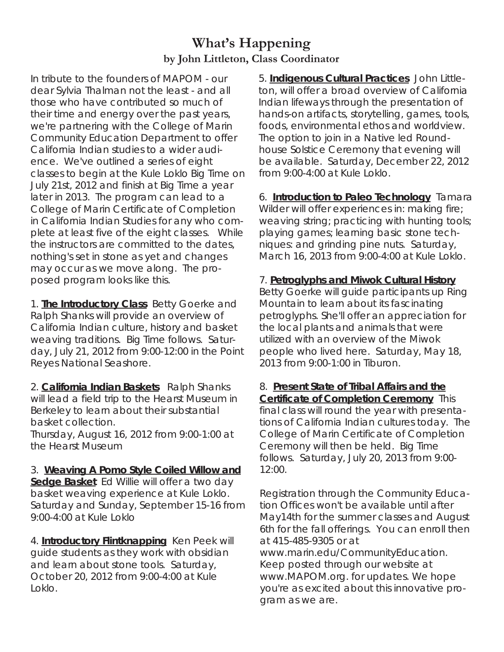### **What's Happening by John Littleton, Class Coordinator**

In tribute to the founders of MAPOM - our dear Sylvia Thalman not the least - and all those who have contributed so much of their time and energy over the past years, we're partnering with the College of Marin Community Education Department to offer California Indian studies to a wider audience. We've outlined a series of eight classes to begin at the Kule Loklo Big Time on July 21st, 2012 and finish at Big Time a year later in 2013. The program can lead to a College of Marin Certificate of Completion in California Indian Studies for any who complete at least five of the eight classes. While the instructors are committed to the dates, nothing's set in stone as yet and changes may occur as we move along. The proposed program looks like this.

1. **The Introductory Class** Betty Goerke and Ralph Shanks will provide an overview of California Indian culture, history and basket weaving traditions. Big Time follows. Saturday, July 21, 2012 from 9:00-12:00 in the Point Reyes National Seashore.

2. **California Indian Baskets** Ralph Shanks will lead a field trip to the Hearst Museum in Berkeley to learn about their substantial basket collection. Thursday, August 16, 2012 from 9:00-1:00 at

the Hearst Museum

3. **Weaving A Pomo Style Coiled Willow and Sedge Basket** Ed Willie will offer a two day basket weaving experience at Kule Loklo. Saturday and Sunday, September 15-16 from 9:00-4:00 at Kule Loklo

4. **Introductory Flintknapping** Ken Peek will guide students as they work with obsidian and learn about stone tools. Saturday, October 20, 2012 from 9:00-4:00 at Kule Loklo.

5. **Indigenous Cultural Practices** John Littleton, will offer a broad overview of California Indian lifeways through the presentation of hands-on artifacts, storytelling, games, tools, foods, environmental ethos and worldview. The option to join in a Native led Roundhouse Solstice Ceremony that evening will be available. Saturday, December 22, 2012 from 9:00-4:00 at Kule Loklo.

6. **Introduction to Paleo Technology** Tamara Wilder will offer experiences in: making fire; weaving string; practicing with hunting tools; playing games; learning basic stone techniques: and grinding pine nuts. Saturday, March 16, 2013 from 9:00-4:00 at Kule Loklo.

### 7. **Petroglyphs and Miwok Cultural History**

Betty Goerke will guide participants up Ring Mountain to learn about its fascinating petroglyphs. She'll offer an appreciation for the local plants and animals that were utilized with an overview of the Miwok people who lived here. Saturday, May 18, 2013 from 9:00-1:00 in Tiburon.

8. **Present State of Tribal Affairs and the Certificate of Completion Ceremony** This final class will round the year with presentations of California Indian cultures today. The College of Marin Certificate of Completion Ceremony will then be held. Big Time follows. Saturday, July 20, 2013 from 9:00- 12:00.

Registration through the Community Education Offices won't be available until after May14th for the summer classes and August 6th for the fall offerings. You can enroll then at 415-485-9305 or at www.marin.edu/CommunityEducation.

Keep posted through our website at www.MAPOM.org. for updates. We hope you're as excited about this innovative program as we are.